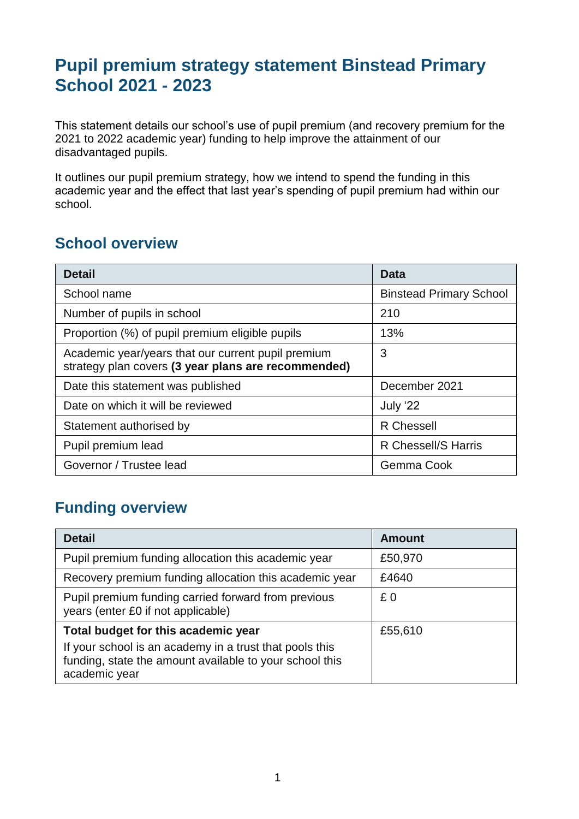# **Pupil premium strategy statement Binstead Primary School 2021 - 2023**

This statement details our school's use of pupil premium (and recovery premium for the 2021 to 2022 academic year) funding to help improve the attainment of our disadvantaged pupils.

It outlines our pupil premium strategy, how we intend to spend the funding in this academic year and the effect that last year's spending of pupil premium had within our school.

### **School overview**

| <b>Detail</b>                                                                                             | Data                           |
|-----------------------------------------------------------------------------------------------------------|--------------------------------|
| School name                                                                                               | <b>Binstead Primary School</b> |
| Number of pupils in school                                                                                | 210                            |
| Proportion (%) of pupil premium eligible pupils                                                           | 13%                            |
| Academic year/years that our current pupil premium<br>strategy plan covers (3 year plans are recommended) | 3                              |
| Date this statement was published                                                                         | December 2021                  |
| Date on which it will be reviewed                                                                         | July '22                       |
| Statement authorised by                                                                                   | <b>R</b> Chessell              |
| Pupil premium lead                                                                                        | R Chessell/S Harris            |
| Governor / Trustee lead                                                                                   | Gemma Cook                     |

# **Funding overview**

| <b>Detail</b>                                                                                                                       | <b>Amount</b> |
|-------------------------------------------------------------------------------------------------------------------------------------|---------------|
| Pupil premium funding allocation this academic year                                                                                 | £50,970       |
| Recovery premium funding allocation this academic year                                                                              | £4640         |
| Pupil premium funding carried forward from previous<br>years (enter £0 if not applicable)                                           | £0            |
| Total budget for this academic year                                                                                                 | £55,610       |
| If your school is an academy in a trust that pools this<br>funding, state the amount available to your school this<br>academic year |               |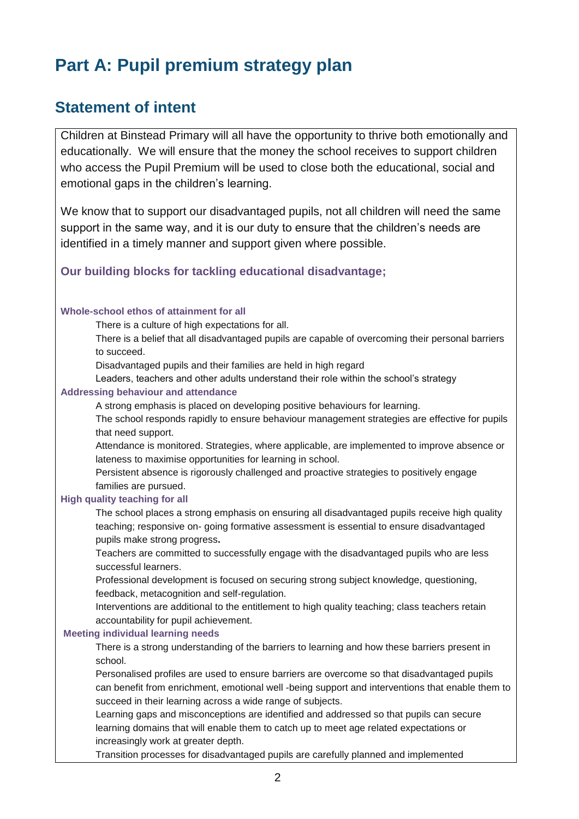# **Part A: Pupil premium strategy plan**

## **Statement of intent**

Children at Binstead Primary will all have the opportunity to thrive both emotionally and educationally. We will ensure that the money the school receives to support children who access the Pupil Premium will be used to close both the educational, social and emotional gaps in the children's learning.

We know that to support our disadvantaged pupils, not all children will need the same support in the same way, and it is our duty to ensure that the children's needs are identified in a timely manner and support given where possible.

#### **Our building blocks for tackling educational disadvantage;**

#### **Whole-school ethos of attainment for all**

There is a culture of high expectations for all.

There is a belief that all disadvantaged pupils are capable of overcoming their personal barriers to succeed.

Disadvantaged pupils and their families are held in high regard

Leaders, teachers and other adults understand their role within the school's strategy

#### **Addressing behaviour and attendance**

A strong emphasis is placed on developing positive behaviours for learning.

The school responds rapidly to ensure behaviour management strategies are effective for pupils that need support.

Attendance is monitored. Strategies, where applicable, are implemented to improve absence or lateness to maximise opportunities for learning in school.

Persistent absence is rigorously challenged and proactive strategies to positively engage families are pursued.

#### **High quality teaching for all**

The school places a strong emphasis on ensuring all disadvantaged pupils receive high quality teaching; responsive on- going formative assessment is essential to ensure disadvantaged pupils make strong progress**.** 

Teachers are committed to successfully engage with the disadvantaged pupils who are less successful learners.

Professional development is focused on securing strong subject knowledge, questioning, feedback, metacognition and self-regulation.

Interventions are additional to the entitlement to high quality teaching; class teachers retain accountability for pupil achievement.

#### **Meeting individual learning needs**

There is a strong understanding of the barriers to learning and how these barriers present in school.

Personalised profiles are used to ensure barriers are overcome so that disadvantaged pupils can benefit from enrichment, emotional well -being support and interventions that enable them to succeed in their learning across a wide range of subjects.

Learning gaps and misconceptions are identified and addressed so that pupils can secure learning domains that will enable them to catch up to meet age related expectations or increasingly work at greater depth.

Transition processes for disadvantaged pupils are carefully planned and implemented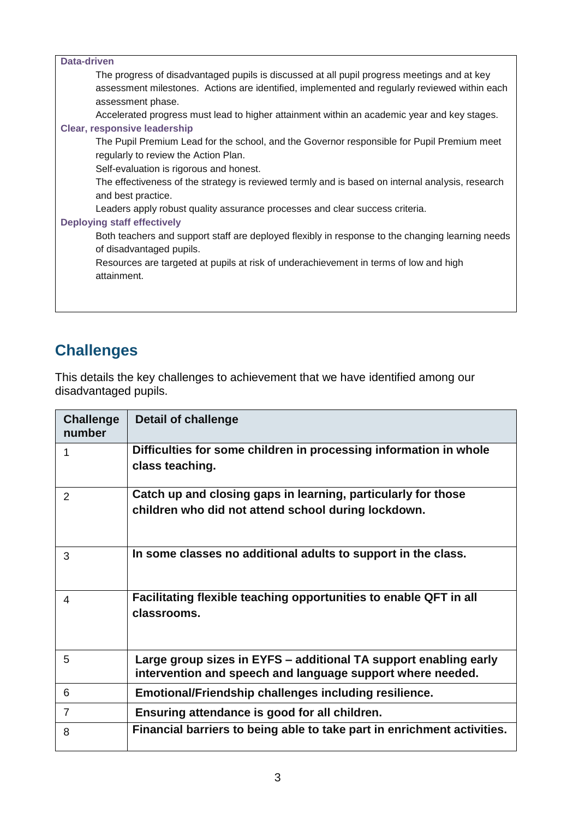| <b>Data-driven</b>                                                                                                                                                                                                |
|-------------------------------------------------------------------------------------------------------------------------------------------------------------------------------------------------------------------|
| The progress of disadvantaged pupils is discussed at all pupil progress meetings and at key<br>assessment milestones. Actions are identified, implemented and regularly reviewed within each<br>assessment phase. |
| Accelerated progress must lead to higher attainment within an academic year and key stages.                                                                                                                       |
| <b>Clear, responsive leadership</b>                                                                                                                                                                               |
| The Pupil Premium Lead for the school, and the Governor responsible for Pupil Premium meet<br>regularly to review the Action Plan.                                                                                |
| Self-evaluation is rigorous and honest.                                                                                                                                                                           |
| The effectiveness of the strategy is reviewed termly and is based on internal analysis, research<br>and best practice.                                                                                            |
| Leaders apply robust quality assurance processes and clear success criteria.                                                                                                                                      |
| <b>Deploying staff effectively</b>                                                                                                                                                                                |
| Both teachers and support staff are deployed flexibly in response to the changing learning needs<br>of disadvantaged pupils.                                                                                      |
| Resources are targeted at pupils at risk of underachievement in terms of low and high<br>attainment.                                                                                                              |
|                                                                                                                                                                                                                   |

# **Challenges**

This details the key challenges to achievement that we have identified among our disadvantaged pupils.

| <b>Challenge</b><br>number | <b>Detail of challenge</b>                                                                                                     |
|----------------------------|--------------------------------------------------------------------------------------------------------------------------------|
| 1                          | Difficulties for some children in processing information in whole<br>class teaching.                                           |
| 2                          | Catch up and closing gaps in learning, particularly for those<br>children who did not attend school during lockdown.           |
| 3                          | In some classes no additional adults to support in the class.                                                                  |
| 4                          | Facilitating flexible teaching opportunities to enable QFT in all<br>classrooms.                                               |
| 5                          | Large group sizes in EYFS – additional TA support enabling early<br>intervention and speech and language support where needed. |
| 6                          | Emotional/Friendship challenges including resilience.                                                                          |
| $\overline{7}$             | Ensuring attendance is good for all children.                                                                                  |
| 8                          | Financial barriers to being able to take part in enrichment activities.                                                        |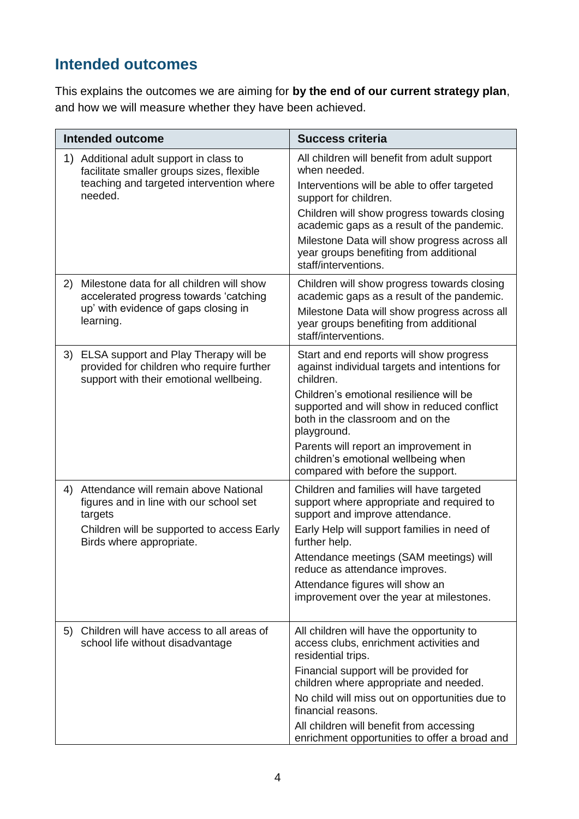# **Intended outcomes**

This explains the outcomes we are aiming for **by the end of our current strategy plan**, and how we will measure whether they have been achieved.

|    | <b>Intended outcome</b>                                                                                                                                                  | <b>Success criteria</b>                                                                                                                                                                                                                                                                                                                                                  |  |
|----|--------------------------------------------------------------------------------------------------------------------------------------------------------------------------|--------------------------------------------------------------------------------------------------------------------------------------------------------------------------------------------------------------------------------------------------------------------------------------------------------------------------------------------------------------------------|--|
| 1) | Additional adult support in class to<br>facilitate smaller groups sizes, flexible<br>teaching and targeted intervention where<br>needed.                                 | All children will benefit from adult support<br>when needed.<br>Interventions will be able to offer targeted<br>support for children.<br>Children will show progress towards closing<br>academic gaps as a result of the pandemic.<br>Milestone Data will show progress across all<br>year groups benefiting from additional<br>staff/interventions.                     |  |
| 2) | Milestone data for all children will show<br>accelerated progress towards 'catching<br>up' with evidence of gaps closing in<br>learning.                                 | Children will show progress towards closing<br>academic gaps as a result of the pandemic.<br>Milestone Data will show progress across all<br>year groups benefiting from additional<br>staff/interventions.                                                                                                                                                              |  |
|    | 3) ELSA support and Play Therapy will be<br>provided for children who require further<br>support with their emotional wellbeing.                                         | Start and end reports will show progress<br>against individual targets and intentions for<br>children.<br>Children's emotional resilience will be<br>supported and will show in reduced conflict<br>both in the classroom and on the<br>playground.<br>Parents will report an improvement in<br>children's emotional wellbeing when<br>compared with before the support. |  |
|    | 4) Attendance will remain above National<br>figures and in line with our school set<br>targets<br>Children will be supported to access Early<br>Birds where appropriate. | Children and families will have targeted<br>support where appropriate and required to<br>support and improve attendance.<br>Early Help will support families in need of<br>further help.<br>Attendance meetings (SAM meetings) will<br>reduce as attendance improves.<br>Attendance figures will show an<br>improvement over the year at milestones.                     |  |
| 5) | Children will have access to all areas of<br>school life without disadvantage                                                                                            | All children will have the opportunity to<br>access clubs, enrichment activities and<br>residential trips.<br>Financial support will be provided for<br>children where appropriate and needed.<br>No child will miss out on opportunities due to<br>financial reasons.<br>All children will benefit from accessing<br>enrichment opportunities to offer a broad and      |  |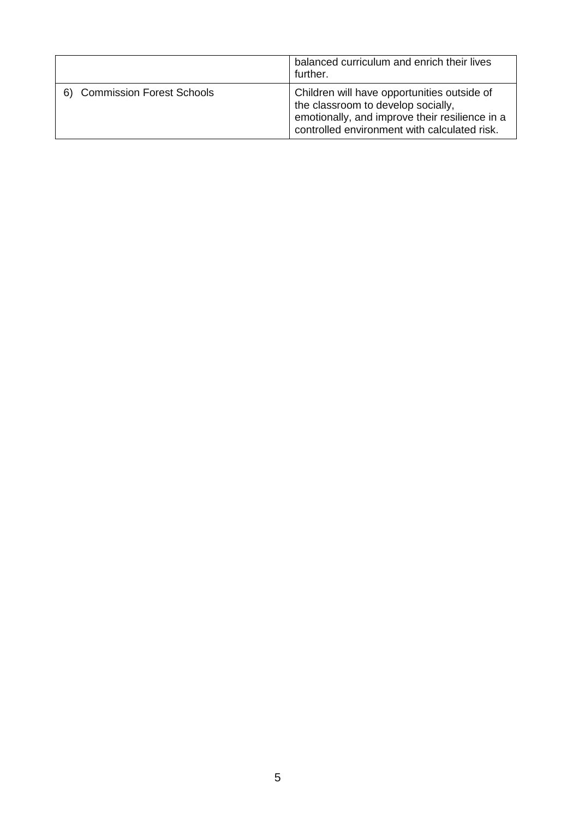|                                        | balanced curriculum and enrich their lives<br>further.                                                                                                                              |
|----------------------------------------|-------------------------------------------------------------------------------------------------------------------------------------------------------------------------------------|
| <b>Commission Forest Schools</b><br>6) | Children will have opportunities outside of<br>the classroom to develop socially,<br>emotionally, and improve their resilience in a<br>controlled environment with calculated risk. |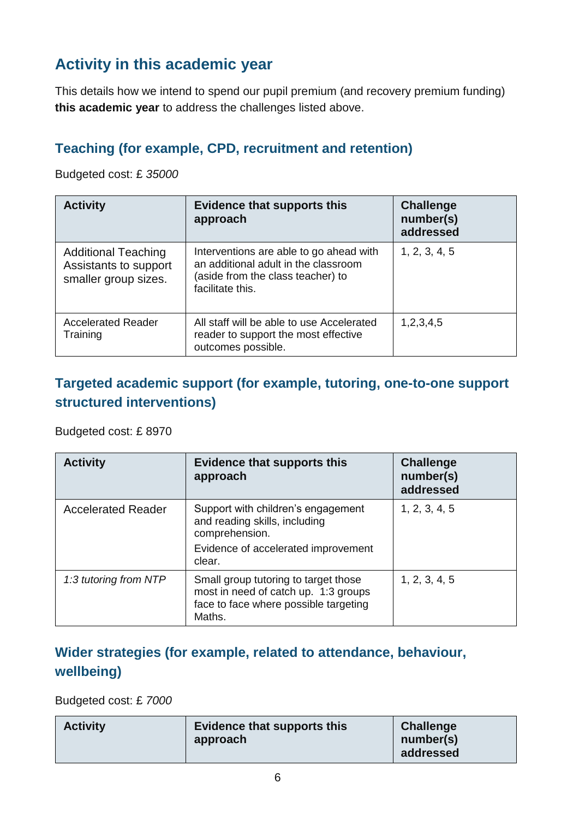# **Activity in this academic year**

This details how we intend to spend our pupil premium (and recovery premium funding) **this academic year** to address the challenges listed above.

## **Teaching (for example, CPD, recruitment and retention)**

Budgeted cost: £ *35000*

| <b>Activity</b>                                                             | <b>Evidence that supports this</b><br>approach                                                                                           | <b>Challenge</b><br>number(s)<br>addressed |
|-----------------------------------------------------------------------------|------------------------------------------------------------------------------------------------------------------------------------------|--------------------------------------------|
| <b>Additional Teaching</b><br>Assistants to support<br>smaller group sizes. | Interventions are able to go ahead with<br>an additional adult in the classroom<br>(aside from the class teacher) to<br>facilitate this. | 1, 2, 3, 4, 5                              |
| <b>Accelerated Reader</b><br>Training                                       | All staff will be able to use Accelerated<br>reader to support the most effective<br>outcomes possible.                                  | 1,2,3,4,5                                  |

### **Targeted academic support (for example, tutoring, one-to-one support structured interventions)**

Budgeted cost: £ 8970

| <b>Activity</b>           | <b>Evidence that supports this</b><br>approach                                                                                         | <b>Challenge</b><br>number(s)<br>addressed |
|---------------------------|----------------------------------------------------------------------------------------------------------------------------------------|--------------------------------------------|
| <b>Accelerated Reader</b> | Support with children's engagement<br>and reading skills, including<br>comprehension.<br>Evidence of accelerated improvement<br>clear. | 1, 2, 3, 4, 5                              |
| 1:3 tutoring from NTP     | Small group tutoring to target those<br>most in need of catch up. 1:3 groups<br>face to face where possible targeting<br>Maths.        | 1, 2, 3, 4, 5                              |

# **Wider strategies (for example, related to attendance, behaviour, wellbeing)**

Budgeted cost: £ *7000* 

| <b>Activity</b> | Evidence that supports this<br>approach | <b>Challenge</b><br>number(s) |
|-----------------|-----------------------------------------|-------------------------------|
|                 |                                         | addressed                     |